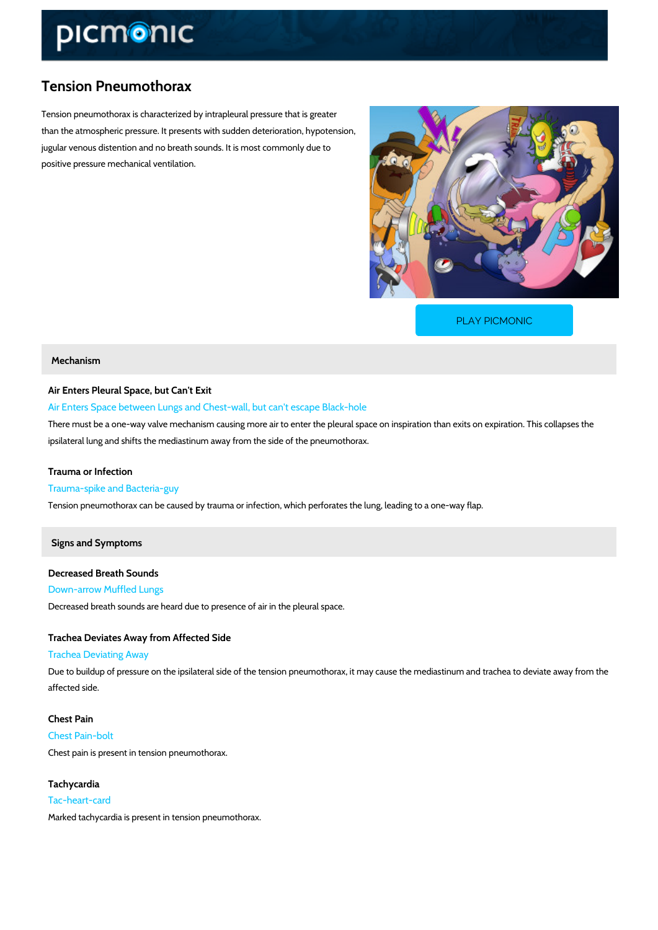## Tension Pneumothorax

Tension pneumothorax is characterized by intrapleural pressure that is greater than the atmospheric pressure. It presents with sudden deterioration, hypotension, jugular venous distention and no breath sounds. It is most commonly due to positive pressure mechanical ventilation.

[PLAY PICMONIC](https://www.picmonic.com/learn/tension-pneumothorax_1407?utm_source=downloadable_content&utm_medium=distributedcontent&utm_campaign=pathways_pdf&utm_content=Tension Pneumothorax&utm_ad_group=leads&utm_market=all)

## Mechanism

Air Enters Pleural Space, but Can't Exit

Air Enters Space between Lungs and Chest-wall, but can't escape Black-hole

There must be a one-way valve mechanism causing more air to enter the pleural space on inspiration. ipsilateral lung and shifts the mediastinum away from the side of the pneumothorax.

Trauma or Infection Trauma-spike and Bacteria-guy Tension pneumothorax can be caused by trauma or infection, which perforates the lung, leadin

## Signs and Symptoms

Decreased Breath Sounds Down-arrow Muffled Lungs Decreased breath sounds are heard due to presence of air in the pleural space.

Trachea Deviates Away from Affected Side Trachea Deviating Away Due to buildup of pressure on the ipsilateral side of the tension pneumothorax, it may cause t affected side.

Chest Pain Chest Pain-bolt Chest pain is present in tension pneumothorax.

Tachycardia Tac-heart-card Marked tachycardia is present in tension pneumothorax.